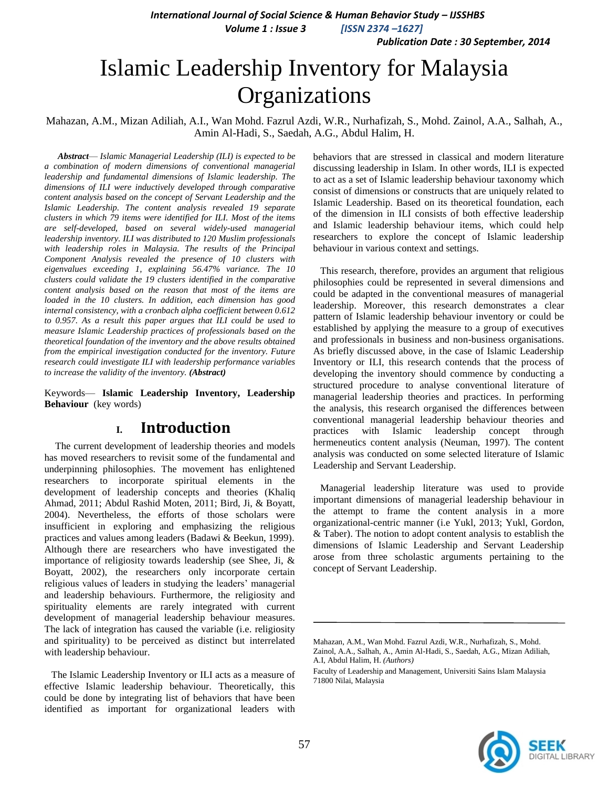*Publication Date : 30 September, 2014*

# Islamic Leadership Inventory for Malaysia **Organizations**

Mahazan, A.M., Mizan Adiliah, A.I., Wan Mohd. Fazrul Azdi, W.R., Nurhafizah, S., Mohd. Zainol, A.A., Salhah, A., Amin Al-Hadi, S., Saedah, A.G., Abdul Halim, H.

*Abstract*— *Islamic Managerial Leadership (ILI) is expected to be a combination of modern dimensions of conventional managerial leadership and fundamental dimensions of Islamic leadership. The dimensions of ILI were inductively developed through comparative content analysis based on the concept of Servant Leadership and the Islamic Leadership. The content analysis revealed 19 separate clusters in which 79 items were identified for ILI. Most of the items are self-developed, based on several widely-used managerial leadership inventory. ILI was distributed to 120 Muslim professionals with leadership roles in Malaysia. The results of the Principal Component Analysis revealed the presence of 10 clusters with eigenvalues exceeding 1, explaining 56.47% variance. The 10 clusters could validate the 19 clusters identified in the comparative content analysis based on the reason that most of the items are loaded in the 10 clusters. In addition, each dimension has good internal consistency, with a cronbach alpha coefficient between 0.612 to 0.957. As a result this paper argues that ILI could be used to measure Islamic Leadership practices of professionals based on the theoretical foundation of the inventory and the above results obtained from the empirical investigation conducted for the inventory. Future research could investigate ILI with leadership performance variables to increase the validity of the inventory. (Abstract)*

Keywords— **Islamic Leadership Inventory, Leadership Behaviour** (key words)

# **I. Introduction**

The current development of leadership theories and models has moved researchers to revisit some of the fundamental and underpinning philosophies. The movement has enlightened researchers to incorporate spiritual elements in the development of leadership concepts and theories (Khaliq Ahmad, 2011; Abdul Rashid Moten, 2011; Bird, Ji, & Boyatt, 2004). Nevertheless, the efforts of those scholars were insufficient in exploring and emphasizing the religious practices and values among leaders (Badawi & Beekun, 1999). Although there are researchers who have investigated the importance of religiosity towards leadership (see Shee, Ji, & Boyatt, 2002), the researchers only incorporate certain religious values of leaders in studying the leaders' managerial and leadership behaviours. Furthermore, the religiosity and spirituality elements are rarely integrated with current development of managerial leadership behaviour measures. The lack of integration has caused the variable (i.e. religiosity and spirituality) to be perceived as distinct but interrelated with leadership behaviour.

The Islamic Leadership Inventory or ILI acts as a measure of effective Islamic leadership behaviour. Theoretically, this could be done by integrating list of behaviors that have been identified as important for organizational leaders with

behaviors that are stressed in classical and modern literature discussing leadership in Islam. In other words, ILI is expected to act as a set of Islamic leadership behaviour taxonomy which consist of dimensions or constructs that are uniquely related to Islamic Leadership. Based on its theoretical foundation, each of the dimension in ILI consists of both effective leadership and Islamic leadership behaviour items, which could help researchers to explore the concept of Islamic leadership behaviour in various context and settings.

This research, therefore, provides an argument that religious philosophies could be represented in several dimensions and could be adapted in the conventional measures of managerial leadership. Moreover, this research demonstrates a clear pattern of Islamic leadership behaviour inventory or could be established by applying the measure to a group of executives and professionals in business and non-business organisations. As briefly discussed above, in the case of Islamic Leadership Inventory or ILI, this research contends that the process of developing the inventory should commence by conducting a structured procedure to analyse conventional literature of managerial leadership theories and practices. In performing the analysis, this research organised the differences between conventional managerial leadership behaviour theories and practices with Islamic leadership concept through hermeneutics content analysis (Neuman, 1997). The content analysis was conducted on some selected literature of Islamic Leadership and Servant Leadership.

Managerial leadership literature was used to provide important dimensions of managerial leadership behaviour in the attempt to frame the content analysis in a more organizational-centric manner (i.e Yukl, 2013; Yukl, Gordon, & Taber). The notion to adopt content analysis to establish the dimensions of Islamic Leadership and Servant Leadership arose from three scholastic arguments pertaining to the concept of Servant Leadership.



Mahazan, A.M., Wan Mohd. Fazrul Azdi, W.R., Nurhafizah, S., Mohd. Zainol, A.A., Salhah, A., Amin Al-Hadi, S., Saedah, A.G., Mizan Adiliah, A.I, Abdul Halim, H. *(Authors)*

Faculty of Leadership and Management, Universiti Sains Islam Malaysia 71800 Nilai, Malaysia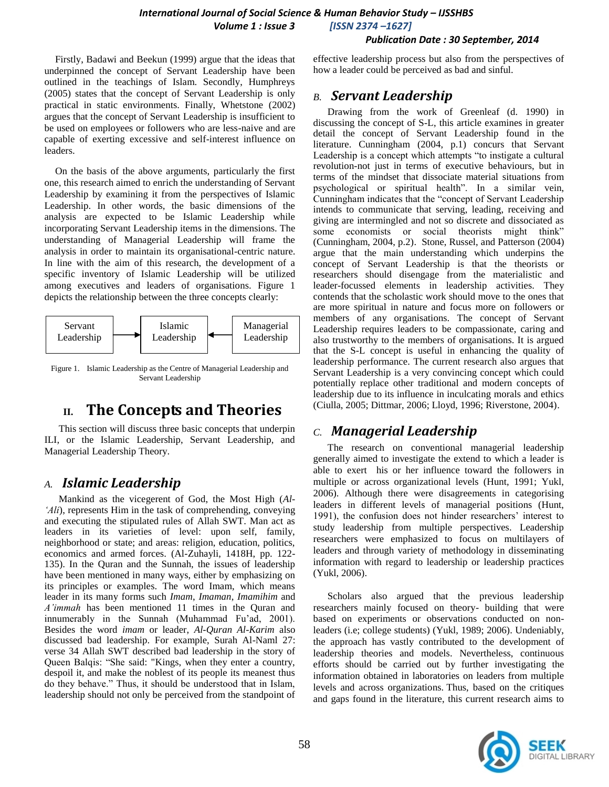#### *Publication Date : 30 September, 2014*

Firstly, Badawi and Beekun (1999) argue that the ideas that underpinned the concept of Servant Leadership have been outlined in the teachings of Islam. Secondly, Humphreys (2005) states that the concept of Servant Leadership is only practical in static environments. Finally, Whetstone (2002) argues that the concept of Servant Leadership is insufficient to be used on employees or followers who are less-naive and are capable of exerting excessive and self-interest influence on leaders.

On the basis of the above arguments, particularly the first one, this research aimed to enrich the understanding of Servant Leadership by examining it from the perspectives of Islamic Leadership. In other words, the basic dimensions of the analysis are expected to be Islamic Leadership while incorporating Servant Leadership items in the dimensions. The understanding of Managerial Leadership will frame the analysis in order to maintain its organisational-centric nature. In line with the aim of this research, the development of a specific inventory of Islamic Leadership will be utilized among executives and leaders of organisations. Figure 1 depicts the relationship between the three concepts clearly:



Figure 1. Islamic Leadership as the Centre of Managerial Leadership and Servant Leadership

# **II. The Concepts and Theories**

This section will discuss three basic concepts that underpin ILI, or the Islamic Leadership, Servant Leadership, and Managerial Leadership Theory.

# *A. Islamic Leadership*

Mankind as the vicegerent of God, the Most High (*Al- 'Ali*), represents Him in the task of comprehending, conveying and executing the stipulated rules of Allah SWT. Man act as leaders in its varieties of level: upon self, family, neighborhood or state; and areas: religion, education, politics, economics and armed forces. (Al-Zuhayli, 1418H, pp. 122- 135). In the Quran and the Sunnah, the issues of leadership have been mentioned in many ways, either by emphasizing on its principles or examples. The word Imam, which means leader in its many forms such *Imam*, *Imaman*, *Imamihim* and *A'immah* has been mentioned 11 times in the Quran and innumerably in the Sunnah (Muhammad Fu'ad, 2001). Besides the word *imam* or leader, *Al-Quran Al-Karim* also discussed bad leadership. For example, Surah Al-Naml 27: verse 34 Allah SWT described bad leadership in the story of Queen Balqis: "She said: "Kings, when they enter a country, despoil it, and make the noblest of its people its meanest thus do they behave." Thus, it should be understood that in Islam, leadership should not only be perceived from the standpoint of effective leadership process but also from the perspectives of how a leader could be perceived as bad and sinful.

# *B. Servant Leadership*

Drawing from the work of Greenleaf (d. 1990) in discussing the concept of S-L, this article examines in greater detail the concept of Servant Leadership found in the literature. Cunningham (2004, p.1) concurs that Servant Leadership is a concept which attempts "to instigate a cultural revolution-not just in terms of executive behaviours, but in terms of the mindset that dissociate material situations from psychological or spiritual health". In a similar vein, Cunningham indicates that the "concept of Servant Leadership intends to communicate that serving, leading, receiving and giving are intermingled and not so discrete and dissociated as some economists or social theorists might think" (Cunningham, 2004, p.2). Stone, Russel, and Patterson (2004) argue that the main understanding which underpins the concept of Servant Leadership is that the theorists or researchers should disengage from the materialistic and leader-focussed elements in leadership activities. They contends that the scholastic work should move to the ones that are more spiritual in nature and focus more on followers or members of any organisations. The concept of Servant Leadership requires leaders to be compassionate, caring and also trustworthy to the members of organisations. It is argued that the S-L concept is useful in enhancing the quality of leadership performance. The current research also argues that Servant Leadership is a very convincing concept which could potentially replace other traditional and modern concepts of leadership due to its influence in inculcating morals and ethics (Ciulla, 2005; Dittmar, 2006; Lloyd, 1996; Riverstone, 2004).

# *C. Managerial Leadership*

The research on conventional managerial leadership generally aimed to investigate the extend to which a leader is able to exert his or her influence toward the followers in multiple or across organizational levels (Hunt, 1991; Yukl, 2006). Although there were disagreements in categorising leaders in different levels of managerial positions (Hunt, 1991), the confusion does not hinder researchers' interest to study leadership from multiple perspectives. Leadership researchers were emphasized to focus on multilayers of leaders and through variety of methodology in disseminating information with regard to leadership or leadership practices (Yukl, 2006).

Scholars also argued that the previous leadership researchers mainly focused on theory- building that were based on experiments or observations conducted on nonleaders (i.e; college students) (Yukl, 1989; 2006). Undeniably, the approach has vastly contributed to the development of leadership theories and models. Nevertheless, continuous efforts should be carried out by further investigating the information obtained in laboratories on leaders from multiple levels and across organizations. Thus, based on the critiques and gaps found in the literature, this current research aims to

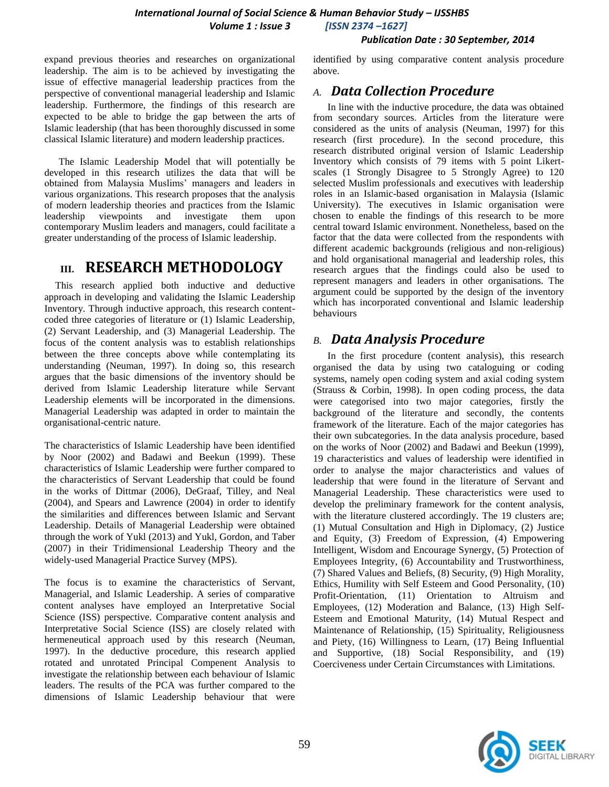#### *Publication Date : 30 September, 2014*

expand previous theories and researches on organizational leadership. The aim is to be achieved by investigating the issue of effective managerial leadership practices from the perspective of conventional managerial leadership and Islamic leadership. Furthermore, the findings of this research are expected to be able to bridge the gap between the arts of Islamic leadership (that has been thoroughly discussed in some classical Islamic literature) and modern leadership practices.

The Islamic Leadership Model that will potentially be developed in this research utilizes the data that will be obtained from Malaysia Muslims' managers and leaders in various organizations. This research proposes that the analysis of modern leadership theories and practices from the Islamic leadership viewpoints and investigate them upon contemporary Muslim leaders and managers, could facilitate a greater understanding of the process of Islamic leadership.

# **III. RESEARCH METHODOLOGY**

This research applied both inductive and deductive approach in developing and validating the Islamic Leadership Inventory. Through inductive approach, this research contentcoded three categories of literature or (1) Islamic Leadership, (2) Servant Leadership, and (3) Managerial Leadership. The focus of the content analysis was to establish relationships between the three concepts above while contemplating its understanding (Neuman, 1997). In doing so, this research argues that the basic dimensions of the inventory should be derived from Islamic Leadership literature while Servant Leadership elements will be incorporated in the dimensions. Managerial Leadership was adapted in order to maintain the organisational-centric nature.

The characteristics of Islamic Leadership have been identified by Noor (2002) and Badawi and Beekun (1999). These characteristics of Islamic Leadership were further compared to the characteristics of Servant Leadership that could be found in the works of Dittmar (2006), DeGraaf, Tilley, and Neal (2004), and Spears and Lawrence (2004) in order to identify the similarities and differences between Islamic and Servant Leadership. Details of Managerial Leadership were obtained through the work of Yukl (2013) and Yukl, Gordon, and Taber (2007) in their Tridimensional Leadership Theory and the widely-used Managerial Practice Survey (MPS).

The focus is to examine the characteristics of Servant, Managerial, and Islamic Leadership. A series of comparative content analyses have employed an Interpretative Social Science (ISS) perspective. Comparative content analysis and Interpretative Social Science (ISS) are closely related with hermeneutical approach used by this research (Neuman, 1997). In the deductive procedure, this research applied rotated and unrotated Principal Compenent Analysis to investigate the relationship between each behaviour of Islamic leaders. The results of the PCA was further compared to the dimensions of Islamic Leadership behaviour that were identified by using comparative content analysis procedure above.

# *A. Data Collection Procedure*

In line with the inductive procedure, the data was obtained from secondary sources. Articles from the literature were considered as the units of analysis (Neuman, 1997) for this research (first procedure). In the second procedure, this research distributed original version of Islamic Leadership Inventory which consists of 79 items with 5 point Likertscales (1 Strongly Disagree to 5 Strongly Agree) to 120 selected Muslim professionals and executives with leadership roles in an Islamic-based organisation in Malaysia (Islamic University). The executives in Islamic organisation were chosen to enable the findings of this research to be more central toward Islamic environment. Nonetheless, based on the factor that the data were collected from the respondents with different academic backgrounds (religious and non-religious) and hold organisational managerial and leadership roles, this research argues that the findings could also be used to represent managers and leaders in other organisations. The argument could be supported by the design of the inventory which has incorporated conventional and Islamic leadership behaviours

# *B. Data Analysis Procedure*

In the first procedure (content analysis), this research organised the data by using two cataloguing or coding systems, namely open coding system and axial coding system (Strauss & Corbin, 1998). In open coding process, the data were categorised into two major categories, firstly the background of the literature and secondly, the contents framework of the literature. Each of the major categories has their own subcategories. In the data analysis procedure, based on the works of Noor (2002) and Badawi and Beekun (1999), 19 characteristics and values of leadership were identified in order to analyse the major characteristics and values of leadership that were found in the literature of Servant and Managerial Leadership. These characteristics were used to develop the preliminary framework for the content analysis, with the literature clustered accordingly. The 19 clusters are; (1) Mutual Consultation and High in Diplomacy, (2) Justice and Equity, (3) Freedom of Expression, (4) Empowering Intelligent, Wisdom and Encourage Synergy, (5) Protection of Employees Integrity, (6) Accountability and Trustworthiness, (7) Shared Values and Beliefs, (8) Security, (9) High Morality, Ethics, Humility with Self Esteem and Good Personality, (10) Profit-Orientation, (11) Orientation to Altruism and Employees, (12) Moderation and Balance, (13) High Self-Esteem and Emotional Maturity, (14) Mutual Respect and Maintenance of Relationship, (15) Spirituality, Religiousness and Piety, (16) Willingness to Learn, (17) Being Influential and Supportive, (18) Social Responsibility, and (19) Coerciveness under Certain Circumstances with Limitations.

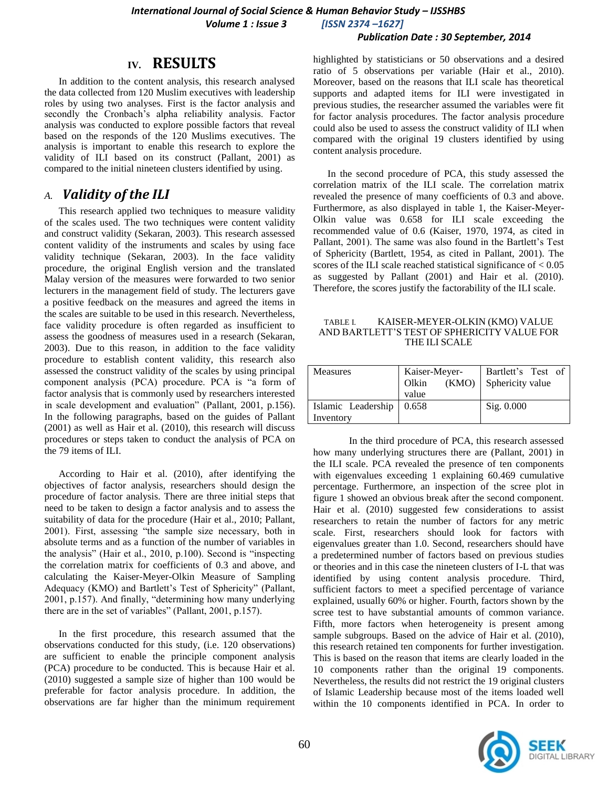#### *Publication Date : 30 September, 2014*

# **IV. RESULTS**

In addition to the content analysis, this research analysed the data collected from 120 Muslim executives with leadership roles by using two analyses. First is the factor analysis and secondly the Cronbach's alpha reliability analysis. Factor analysis was conducted to explore possible factors that reveal based on the responds of the 120 Muslims executives. The analysis is important to enable this research to explore the validity of ILI based on its construct (Pallant, 2001) as compared to the initial nineteen clusters identified by using.

### *A. Validity of the ILI*

This research applied two techniques to measure validity of the scales used. The two techniques were content validity and construct validity (Sekaran, 2003). This research assessed content validity of the instruments and scales by using face validity technique (Sekaran, 2003). In the face validity procedure, the original English version and the translated Malay version of the measures were forwarded to two senior lecturers in the management field of study. The lecturers gave a positive feedback on the measures and agreed the items in the scales are suitable to be used in this research. Nevertheless, face validity procedure is often regarded as insufficient to assess the goodness of measures used in a research (Sekaran, 2003). Due to this reason, in addition to the face validity procedure to establish content validity, this research also assessed the construct validity of the scales by using principal component analysis (PCA) procedure. PCA is "a form of factor analysis that is commonly used by researchers interested in scale development and evaluation" (Pallant, 2001, p.156). In the following paragraphs, based on the guides of Pallant (2001) as well as Hair et al. (2010), this research will discuss procedures or steps taken to conduct the analysis of PCA on the 79 items of ILI.

According to Hair et al. (2010), after identifying the objectives of factor analysis, researchers should design the procedure of factor analysis. There are three initial steps that need to be taken to design a factor analysis and to assess the suitability of data for the procedure (Hair et al., 2010; Pallant, 2001). First, assessing "the sample size necessary, both in absolute terms and as a function of the number of variables in the analysis" (Hair et al., 2010, p.100). Second is "inspecting the correlation matrix for coefficients of 0.3 and above, and calculating the Kaiser-Meyer-Olkin Measure of Sampling Adequacy (KMO) and Bartlett's Test of Sphericity" (Pallant, 2001, p.157). And finally, "determining how many underlying there are in the set of variables" (Pallant, 2001, p.157).

In the first procedure, this research assumed that the observations conducted for this study, (i.e. 120 observations) are sufficient to enable the principle component analysis (PCA) procedure to be conducted. This is because Hair et al. (2010) suggested a sample size of higher than 100 would be preferable for factor analysis procedure. In addition, the observations are far higher than the minimum requirement highlighted by statisticians or 50 observations and a desired ratio of 5 observations per variable (Hair et al., 2010). Moreover, based on the reasons that ILI scale has theoretical supports and adapted items for ILI were investigated in previous studies, the researcher assumed the variables were fit for factor analysis procedures. The factor analysis procedure could also be used to assess the construct validity of ILI when compared with the original 19 clusters identified by using content analysis procedure.

In the second procedure of PCA, this study assessed the correlation matrix of the ILI scale. The correlation matrix revealed the presence of many coefficients of 0.3 and above. Furthermore, as also displayed in table 1, the Kaiser-Meyer-Olkin value was 0.658 for ILI scale exceeding the recommended value of 0.6 (Kaiser, 1970, 1974, as cited in Pallant, 2001). The same was also found in the Bartlett's Test of Sphericity (Bartlett, 1954, as cited in Pallant, 2001). The scores of the ILI scale reached statistical significance of < 0.05 as suggested by Pallant (2001) and Hair et al. (2010). Therefore, the scores justify the factorability of the ILI scale.

#### TABLE I. KAISER-MEYER-OLKIN (KMO) VALUE AND BARTLETT"S TEST OF SPHERICITY VALUE FOR THE ILI SCALE

| <b>Measures</b>                         | Kaiser-Meyer-<br>(KMO)<br>Olkin<br>value | Bartlett's Test of<br>Sphericity value |
|-----------------------------------------|------------------------------------------|----------------------------------------|
| Islamic Leadership   0.658<br>Inventory |                                          | Sig. 0.000                             |

In the third procedure of PCA, this research assessed how many underlying structures there are (Pallant, 2001) in the ILI scale. PCA revealed the presence of ten components with eigenvalues exceeding 1 explaining 60.469 cumulative percentage. Furthermore, an inspection of the scree plot in figure 1 showed an obvious break after the second component. Hair et al. (2010) suggested few considerations to assist researchers to retain the number of factors for any metric scale. First, researchers should look for factors with eigenvalues greater than 1.0. Second, researchers should have a predetermined number of factors based on previous studies or theories and in this case the nineteen clusters of I-L that was identified by using content analysis procedure. Third, sufficient factors to meet a specified percentage of variance explained, usually 60% or higher. Fourth, factors shown by the scree test to have substantial amounts of common variance. Fifth, more factors when heterogeneity is present among sample subgroups. Based on the advice of Hair et al. (2010), this research retained ten components for further investigation. This is based on the reason that items are clearly loaded in the 10 components rather than the original 19 components. Nevertheless, the results did not restrict the 19 original clusters of Islamic Leadership because most of the items loaded well within the 10 components identified in PCA. In order to

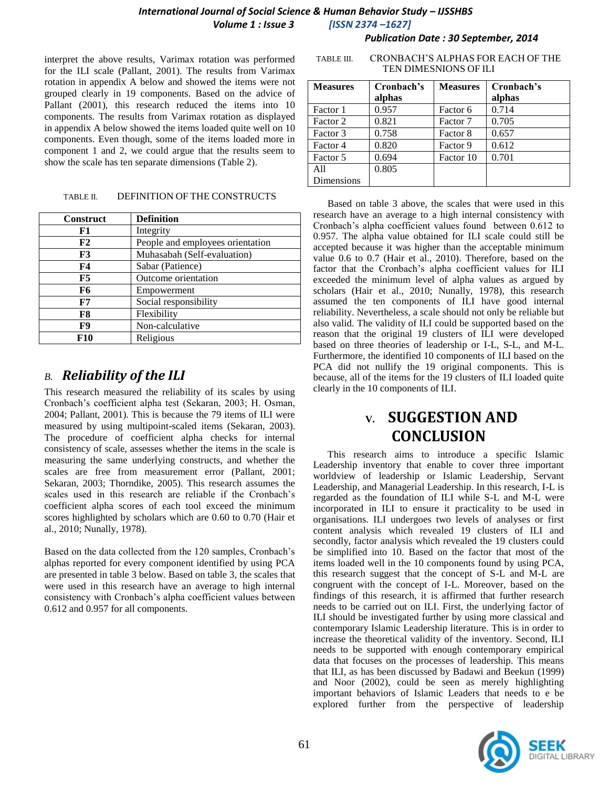*Publication Date : 30 September, 2014*

interpret the above results, Varimax rotation was performed for the ILI scale (Pallant, 2001). The results from Varimax rotation in appendix A below and showed the items were not grouped clearly in 19 components. Based on the advice of Pallant (2001), this research reduced the items into 10 components. The results from Varimax rotation as displayed in appendix A below showed the items loaded quite well on 10 components. Even though, some of the items loaded more in component 1 and 2, we could argue that the results seem to show the scale has ten separate dimensions (Table 2).

#### TABLE II. DEFINITION OF THE CONSTRUCTS

| <b>Construct</b> | <b>Definition</b>                |
|------------------|----------------------------------|
| F1               | Integrity                        |
| F2               | People and employees orientation |
| F3               | Muhasabah (Self-evaluation)      |
| F4               | Sabar (Patience)                 |
| F5               | Outcome orientation              |
| F6               | Empowerment                      |
| F7               | Social responsibility            |
| F8               | Flexibility                      |
| F9               | Non-calculative                  |
| F10              | Religious                        |

# *B. Reliability of the ILI*

This research measured the reliability of its scales by using Cronbach"s coefficient alpha test (Sekaran, 2003; H. Osman, 2004; Pallant, 2001). This is because the 79 items of ILI were measured by using multipoint-scaled items (Sekaran, 2003). The procedure of coefficient alpha checks for internal consistency of scale, assesses whether the items in the scale is measuring the same underlying constructs, and whether the scales are free from measurement error (Pallant, 2001; Sekaran, 2003; Thorndike, 2005). This research assumes the scales used in this research are reliable if the Cronbach"s coefficient alpha scores of each tool exceed the minimum scores highlighted by scholars which are 0.60 to 0.70 (Hair et al., 2010; Nunally, 1978).

Based on the data collected from the 120 samples, Cronbach"s alphas reported for every component identified by using PCA are presented in table 3 below. Based on table 3, the scales that were used in this research have an average to high internal consistency with Cronbach"s alpha coefficient values between 0.612 and 0.957 for all components.

| <b>Measures</b> | Cronbach's | <b>Measures</b> | Cronbach's |
|-----------------|------------|-----------------|------------|
|                 | alphas     |                 | alphas     |
| Factor 1        | 0.957      | Factor 6        | 0.714      |
| Factor 2        | 0.821      | Factor 7        | 0.705      |
| Factor 3        | 0.758      | Factor 8        | 0.657      |
| Factor 4        | 0.820      | Factor 9        | 0.612      |
| Factor 5        | 0.694      | Factor 10       | 0.701      |
| A11             | 0.805      |                 |            |
| Dimensions      |            |                 |            |

TABLE III. CRONBACH"S ALPHAS FOR EACH OF THE TEN DIMESNIONS OF ILI

Based on table 3 above, the scales that were used in this research have an average to a high internal consistency with Cronbach"s alpha coefficient values found between 0.612 to 0.957. The alpha value obtained for ILI scale could still be accepted because it was higher than the acceptable minimum value 0.6 to 0.7 (Hair et al., 2010). Therefore, based on the factor that the Cronbach"s alpha coefficient values for ILI exceeded the minimum level of alpha values as argued by scholars (Hair et al., 2010; Nunally, 1978), this research assumed the ten components of ILI have good internal reliability. Nevertheless, a scale should not only be reliable but also valid. The validity of ILI could be supported based on the reason that the original 19 clusters of ILI were developed based on three theories of leadership or I-L, S-L, and M-L. Furthermore, the identified 10 components of ILI based on the PCA did not nullify the 19 original components. This is because, all of the items for the 19 clusters of ILI loaded quite clearly in the 10 components of ILI.

# **V. SUGGESTION AND CONCLUSION**

This research aims to introduce a specific Islamic Leadership inventory that enable to cover three important worldview of leadership or Islamic Leadership, Servant Leadership, and Managerial Leadership. In this research, I-L is regarded as the foundation of ILI while S-L and M-L were incorporated in ILI to ensure it practicality to be used in organisations. ILI undergoes two levels of analyses or first content analysis which revealed 19 clusters of ILI and secondly, factor analysis which revealed the 19 clusters could be simplified into 10. Based on the factor that most of the items loaded well in the 10 components found by using PCA, this research suggest that the concept of S-L and M-L are congruent with the concept of I-L. Moreover, based on the findings of this research, it is affirmed that further research needs to be carried out on ILI. First, the underlying factor of ILI should be investigated further by using more classical and contemporary Islamic Leadership literature. This is in order to increase the theoretical validity of the inventory. Second, ILI needs to be supported with enough contemporary empirical data that focuses on the processes of leadership. This means that ILI, as has been discussed by Badawi and Beekun (1999) and Noor (2002), could be seen as merely highlighting important behaviors of Islamic Leaders that needs to e be explored further from the perspective of leadership